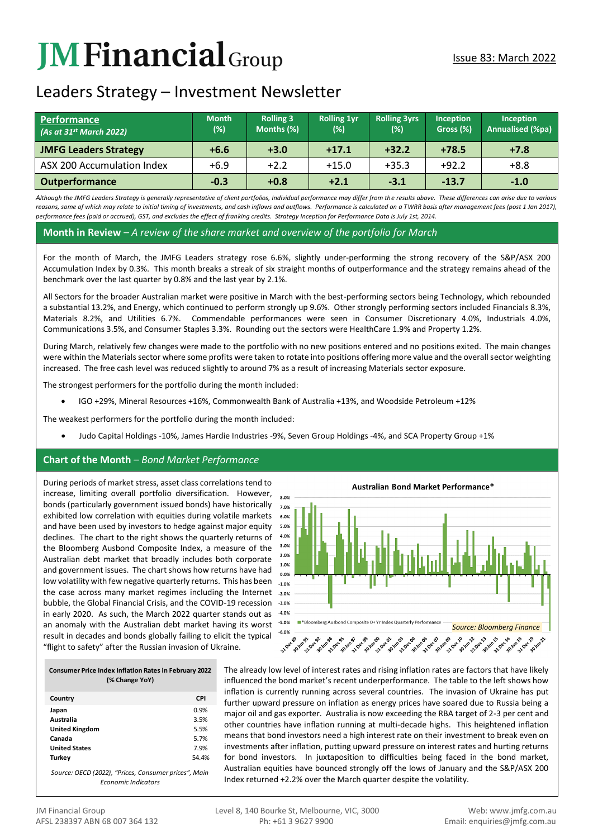# **JM Financial** Group

## Leaders Strategy – Investment Newsletter

| <b>Performance</b><br>(As at $31^{st}$ March 2022) | <b>Month</b><br>(%) | <b>Rolling 3</b><br>Months (%) | <b>Rolling 1yr</b><br>(%) | <b>Rolling 3yrs</b><br>(%) | <b>Inception</b><br>Gross (%) | <b>Inception</b><br>Annualised (%pa) |
|----------------------------------------------------|---------------------|--------------------------------|---------------------------|----------------------------|-------------------------------|--------------------------------------|
| <b>JMFG Leaders Strategy</b>                       | $+6.6$              | $+3.0$                         | $+17.1$                   | $+32.2$                    | $+78.5$                       | $+7.8$                               |
| ASX 200 Accumulation Index                         | $+6.9$              | $+2.2$                         | $+15.0$                   | $+35.3$                    | $+92.2$                       | $+8.8$                               |
| <b>Outperformance</b>                              | $-0.3$              | $+0.8$                         | $+2.1$                    | $-3.1$                     | $-13.7$                       | $-1.0$                               |

*Although the JMFG Leaders Strategy is generally representative of client portfolios, Individual performance may differ from the results above. These differences can arise due to various* reasons, some of which may relate to initial timing of investments, and cash inflows and outflows. Performance is calculated on a TWRR basis after management fees (post 1 Jan 2017). *performance fees (paid or accrued), GST, and excludes the effect of franking credits. Strategy Inception for Performance Data is July 1st, 2014.*

#### **Month in Review** *– A review of the share market and overview of the portfolio for March*

For the month of March, the JMFG Leaders strategy rose 6.6%, slightly under-performing the strong recovery of the S&P/ASX 200 Accumulation Index by 0.3%. This month breaks a streak of six straight months of outperformance and the strategy remains ahead of the benchmark over the last quarter by 0.8% and the last year by 2.1%.

All Sectors for the broader Australian market were positive in March with the best-performing sectors being Technology, which rebounded a substantial 13.2%, and Energy, which continued to perform strongly up 9.6%. Other strongly performing sectors included Financials 8.3%, Materials 8.2%, and Utilities 6.7%. Commendable performances were seen in Consumer Discretionary 4.0%, Industrials 4.0%, Communications 3.5%, and Consumer Staples 3.3%. Rounding out the sectors were HealthCare 1.9% and Property 1.2%.

During March, relatively few changes were made to the portfolio with no new positions entered and no positions exited. The main changes were within the Materials sector where some profits were taken to rotate into positions offering more value and the overall sector weighting increased. The free cash level was reduced slightly to around 7% as a result of increasing Materials sector exposure.

The strongest performers for the portfolio during the month included:

• IGO +29%, Mineral Resources +16%, Commonwealth Bank of Australia +13%, and Woodside Petroleum +12%

The weakest performers for the portfolio during the month included:

• Judo Capital Holdings -10%, James Hardie Industries -9%, Seven Group Holdings -4%, and SCA Property Group +1%

#### **Chart of the Month** *– Bond Market Performance*

During periods of market stress, asset class correlations tend to increase, limiting overall portfolio diversification. However, bonds (particularly government issued bonds) have historically exhibited low correlation with equities during volatile markets and have been used by investors to hedge against major equity 5.0% declines. The chart to the right shows the quarterly returns of the Bloomberg Ausbond Composite Index, a measure of the Australian debt market that broadly includes both corporate and government issues. The chart shows how returns have had low volatility with few negative quarterly returns. This has been .10% the case across many market regimes including the Internet bubble, the Global Financial Crisis, and the COVID-19 recession in early 2020. As such, the March 2022 quarter stands out as an anomaly with the Australian debt market having its worst result in decades and bonds globally failing to elicit the typical "flight to safety" after the Russian invasion of Ukraine.

| <b>Consumer Price Index Inflation Rates in February 2022</b><br>(% Change YoY) |            |  |  |  |  |
|--------------------------------------------------------------------------------|------------|--|--|--|--|
| Country                                                                        | <b>CPI</b> |  |  |  |  |
| Japan                                                                          | 0.9%       |  |  |  |  |
| Australia                                                                      | 3.5%       |  |  |  |  |
| <b>United Kingdom</b>                                                          | 5.5%       |  |  |  |  |
| Canada                                                                         | 5.7%       |  |  |  |  |
| <b>United States</b>                                                           | 7.9%       |  |  |  |  |
| Turkey                                                                         | 54.4%      |  |  |  |  |
| Source: OECD (2022), "Prices, Consumer prices", Main                           |            |  |  |  |  |

*Economic Indicators* 



The already low level of interest rates and rising inflation rates are factors that have likely influenced the bond market's recent underperformance. The table to the left shows how inflation is currently running across several countries. The invasion of Ukraine has put further upward pressure on inflation as energy prices have soared due to Russia being a major oil and gas exporter. Australia is now exceeding the RBA target of 2-3 per cent and other countries have inflation running at multi-decade highs. This heightened inflation means that bond investors need a high interest rate on their investment to break even on investments after inflation, putting upward pressure on interest rates and hurting returns for bond investors. In juxtaposition to difficulties being faced in the bond market, Australian equities have bounced strongly off the lows of January and the S&P/ASX 200 Index returned +2.2% over the March quarter despite the volatility.